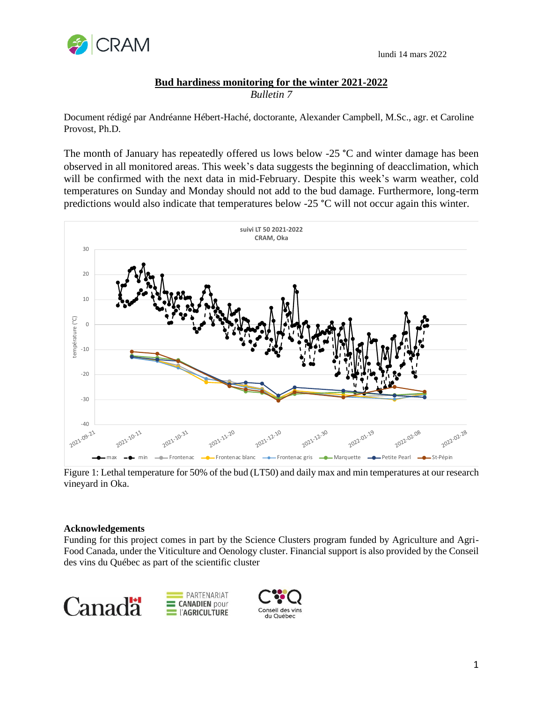

## **Bud hardiness monitoring for the winter 2021-2022** *Bulletin 7*

Document rédigé par Andréanne Hébert-Haché, doctorante, Alexander Campbell, M.Sc., agr. et Caroline Provost, Ph.D.

The month of January has repeatedly offered us lows below -25 °C and winter damage has been observed in all monitored areas. This week's data suggests the beginning of deacclimation, which will be confirmed with the next data in mid-February. Despite this week's warm weather, cold temperatures on Sunday and Monday should not add to the bud damage. Furthermore, long-term predictions would also indicate that temperatures below -25 °C will not occur again this winter.



Figure 1: Lethal temperature for 50% of the bud (LT50) and daily max and min temperatures at our research vineyard in Oka.

## **Acknowledgements**

Funding for this project comes in part by the Science Clusters program funded by Agriculture and Agri-Food Canada, under the Viticulture and Oenology cluster. Financial support is also provided by the Conseil des vins du Québec as part of the scientific cluster





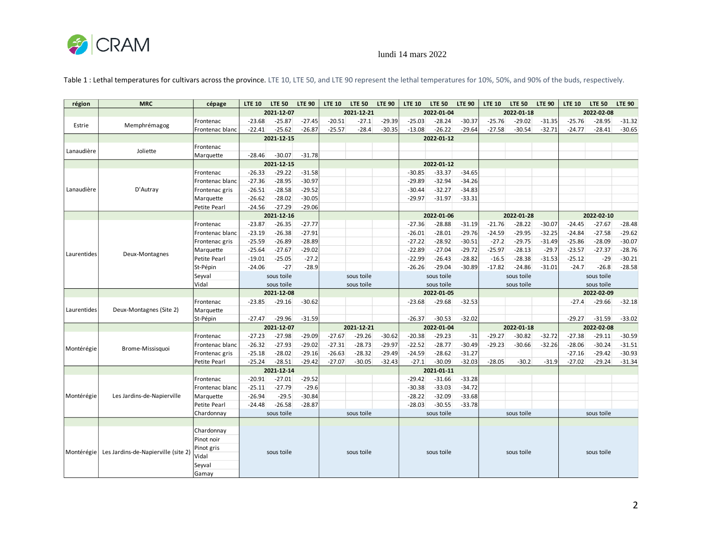

## lundi 14 mars 2022

| région      | <b>MRC</b>                          | cépage          | <b>LTE 10</b> | <b>LTE 50</b> | <b>LTE 90</b> | <b>LTE 10</b> | <b>LTE 50</b> | <b>LTE 90</b> | <b>LTE 10</b> | <b>LTE 50</b> | <b>LTE 90</b> | <b>LTE 10</b> | <b>LTE 50</b> | <b>LTE 90</b> | <b>LTE 10</b> | <b>LTE 50</b> | <b>LTE 90</b> |  |
|-------------|-------------------------------------|-----------------|---------------|---------------|---------------|---------------|---------------|---------------|---------------|---------------|---------------|---------------|---------------|---------------|---------------|---------------|---------------|--|
|             |                                     |                 | 2021-12-07    |               | 2021-12-21    |               | 2022-01-04    |               |               | 2022-01-18    |               |               | 2022-02-08    |               |               |               |               |  |
| Estrie      | Memphrémagog                        | Frontenac       | $-23.68$      | $-25.87$      | $-27.45$      | $-20.51$      | $-27.1$       | $-29.39$      | $-25.03$      | $-28.24$      | $-30.37$      | $-25.76$      | $-29.02$      | $-31.35$      | $-25.76$      | $-28.95$      | $-31.32$      |  |
|             |                                     | Frontenac blanc | $-22.41$      | $-25.62$      | $-26.87$      | $-25.57$      | $-28.4$       | $-30.35$      | $-13.08$      | $-26.22$      | $-29.64$      | $-27.58$      | $-30.54$      | $-32.71$      | $-24.77$      | $-28.41$      | $-30.65$      |  |
|             |                                     |                 | 2021-12-15    |               |               |               |               |               | 2022-01-12    |               |               |               |               |               |               |               |               |  |
| Lanaudière  | Joliette                            | Frontenac       |               |               |               |               |               |               |               |               |               |               |               |               |               |               |               |  |
|             |                                     | Marquette       | $-28.46$      | $-30.07$      | $-31.78$      |               |               |               |               |               |               |               |               |               |               |               |               |  |
|             |                                     |                 | 2021-12-15    |               |               |               | 2022-01-12    |               |               |               |               |               |               |               |               |               |               |  |
| Lanaudière  | D'Autray                            | Frontenac       | $-26.33$      | $-29.22$      | $-31.58$      |               |               |               | $-30.85$      | $-33.37$      | $-34.65$      |               |               |               |               |               |               |  |
|             |                                     | Frontenac blanc | $-27.36$      | $-28.95$      | $-30.97$      |               |               |               | $-29.89$      | $-32.94$      | $-34.26$      |               |               |               |               |               |               |  |
|             |                                     | Frontenac gris  | $-26.51$      | $-28.58$      | $-29.52$      |               |               |               | $-30.44$      | $-32.27$      | $-34.83$      |               |               |               |               |               |               |  |
|             |                                     | Marquette       | $-26.62$      | $-28.02$      | $-30.05$      |               |               |               | $-29.97$      | $-31.97$      | $-33.31$      |               |               |               |               |               |               |  |
|             |                                     | Petite Pearl    | $-24.56$      | $-27.29$      | $-29.06$      |               |               |               |               |               |               |               |               |               |               |               |               |  |
|             |                                     |                 |               | 2021-12-16    |               |               |               |               |               | 2022-01-06    |               | 2022-01-28    |               |               | 2022-02-10    |               |               |  |
|             |                                     | Frontenac       | $-23.87$      | $-26.35$      | $-27.77$      |               |               |               | $-27.36$      | $-28.88$      | $-31.19$      | $-21.76$      | $-28.22$      | $-30.07$      | $-24.45$      | $-27.67$      | $-28.48$      |  |
| Laurentides | Deux-Montagnes                      | Frontenac blanc | $-23.19$      | $-26.38$      | $-27.91$      |               |               |               | $-26.01$      | $-28.01$      | $-29.76$      | $-24.59$      | $-29.95$      | $-32.25$      | $-24.84$      | $-27.58$      | $-29.62$      |  |
|             |                                     | Frontenac gris  | $-25.59$      | $-26.89$      | $-28.89$      |               |               |               | $-27.22$      | $-28.92$      | $-30.51$      | $-27.2$       | $-29.75$      | $-31.49$      | $-25.86$      | $-28.09$      | $-30.07$      |  |
|             |                                     | Marquette       | $-25.64$      | $-27.67$      | $-29.02$      |               |               |               | $-22.89$      | $-27.04$      | $-29.72$      | $-25.97$      | $-28.13$      | $-29.7$       | $-23.57$      | $-27.37$      | $-28.76$      |  |
|             |                                     | Petite Pearl    | $-19.01$      | $-25.05$      | $-27.2$       |               |               |               | $-22.99$      | $-26.43$      | $-28.82$      | $-16.5$       | $-28.38$      | $-31.53$      | $-25.12$      | $-29$         | $-30.21$      |  |
|             |                                     | St-Pépin        | $-24.06$      | $-27$         | $-28.9$       |               |               |               | $-26.26$      | $-29.04$      | $-30.89$      | $-17.82$      | $-24.86$      | $-31.01$      | $-24.7$       | $-26.8$       | $-28.58$      |  |
|             |                                     | Seyval          | sous toile    |               |               | sous toile    |               |               | sous toile    |               |               | sous toile    |               |               | sous toile    |               |               |  |
|             |                                     | Vidal           | sous toile    |               | sous toile    |               |               | sous toile    |               |               | sous toile    |               |               | sous toile    |               |               |               |  |
|             |                                     |                 | 2021-12-08    |               |               |               |               |               | 2022-01-05    |               |               |               |               |               | 2022-02-09    |               |               |  |
| Laurentides | Deux-Montagnes (Site 2)             | Frontenac       | $-23.85$      | $-29.16$      | $-30.62$      |               |               |               | $-23.68$      | $-29.68$      | $-32.53$      |               |               |               | $-27.4$       | $-29.66$      | $-32.18$      |  |
|             |                                     | Marquette       |               |               |               |               |               |               |               |               |               |               |               |               |               |               |               |  |
|             |                                     | St-Pépin        | $-27.47$      | $-29.96$      | $-31.59$      |               |               |               | $-26.37$      | $-30.53$      | $-32.02$      |               |               |               | $-29.27$      | $-31.59$      | $-33.02$      |  |
|             |                                     |                 | 2021-12-07    |               |               |               | 2021-12-21    |               |               | 2022-01-04    |               |               | 2022-01-18    |               |               | 2022-02-08    |               |  |
| Montérégie  | Brome-Missisquoi                    | Frontenac       | $-27.23$      | $-27.98$      | $-29.09$      | $-27.67$      | $-29.26$      | $-30.62$      | $-20.38$      | $-29.23$      | $-31$         | $-29.27$      | $-30.82$      | $-32.72$      | $-27.38$      | $-29.11$      | $-30.59$      |  |
|             |                                     | Frontenac blanc | $-26.32$      | $-27.93$      | $-29.02$      | $-27.31$      | $-28.73$      | $-29.97$      | $-22.52$      | $-28.77$      | $-30.49$      | $-29.23$      | $-30.66$      | $-32.26$      | $-28.06$      | $-30.24$      | $-31.51$      |  |
|             |                                     | Frontenac gris  | $-25.18$      | $-28.02$      | $-29.16$      | $-26.63$      | $-28.32$      | $-29.49$      | $-24.59$      | $-28.62$      | $-31.27$      |               |               |               | $-27.16$      | $-29.42$      | $-30.93$      |  |
|             |                                     | Petite Pearl    | $-25.24$      | $-28.51$      | $-29.42$      | $-27.07$      | $-30.05$      | $-32.43$      | $-27.1$       | $-30.09$      | $-32.03$      | $-28.05$      | $-30.2$       | $-31.9$       | $-27.02$      | $-29.24$      | $-31.34$      |  |
|             |                                     |                 | 2021-12-14    |               |               |               |               |               |               | 2021-01-11    |               |               |               |               |               |               |               |  |
| Montérégie  | Les Jardins-de-Napierville          | Frontenac       | $-20.91$      | $-27.01$      | $-29.52$      |               |               |               | $-29.42$      | $-31.66$      | $-33.28$      |               |               |               |               |               |               |  |
|             |                                     | Frontenac blanc | $-25.11$      | $-27.79$      | $-29.6$       |               |               |               | $-30.38$      | $-33.03$      | $-34.72$      |               |               |               |               |               |               |  |
|             |                                     | Marquette       | $-26.94$      | $-29.5$       | $-30.84$      |               |               |               | $-28.22$      | $-32.09$      | $-33.68$      |               |               |               |               |               |               |  |
|             |                                     | Petite Pearl    | $-24.48$      | $-26.58$      | $-28.87$      |               |               |               | $-28.03$      | $-30.55$      | $-33.78$      |               |               |               |               |               |               |  |
|             |                                     | Chardonnay      |               | sous toile    |               |               | sous toile    |               |               | sous toile    |               |               | sous toile    |               |               | sous toile    |               |  |
|             |                                     |                 |               |               |               |               |               |               |               |               |               |               |               |               |               |               |               |  |
| Montérégie  | Les Jardins-de-Napierville (site 2) | Chardonnay      | sous toile    |               |               |               |               |               |               |               |               |               |               |               |               |               |               |  |
|             |                                     | Pinot noir      |               |               |               |               |               |               |               |               |               |               |               |               |               | sous toile    |               |  |
|             |                                     | Pinot gris      |               |               |               |               | sous toile    |               |               | sous toile    |               |               | sous toile    |               |               |               |               |  |
|             |                                     | Vidal           |               |               |               |               |               |               |               |               |               |               |               |               |               |               |               |  |
|             |                                     | Seyval          |               |               |               |               |               |               |               |               |               |               |               |               |               |               |               |  |
|             |                                     | Gamay           |               |               |               |               |               |               |               |               |               |               |               |               |               |               |               |  |

Table 1 : Lethal temperatures for cultivars across the province. LTE 10, LTE 50, and LTE 90 represent the lethal temperatures for 10%, 50%, and 90% of the buds, respectively.